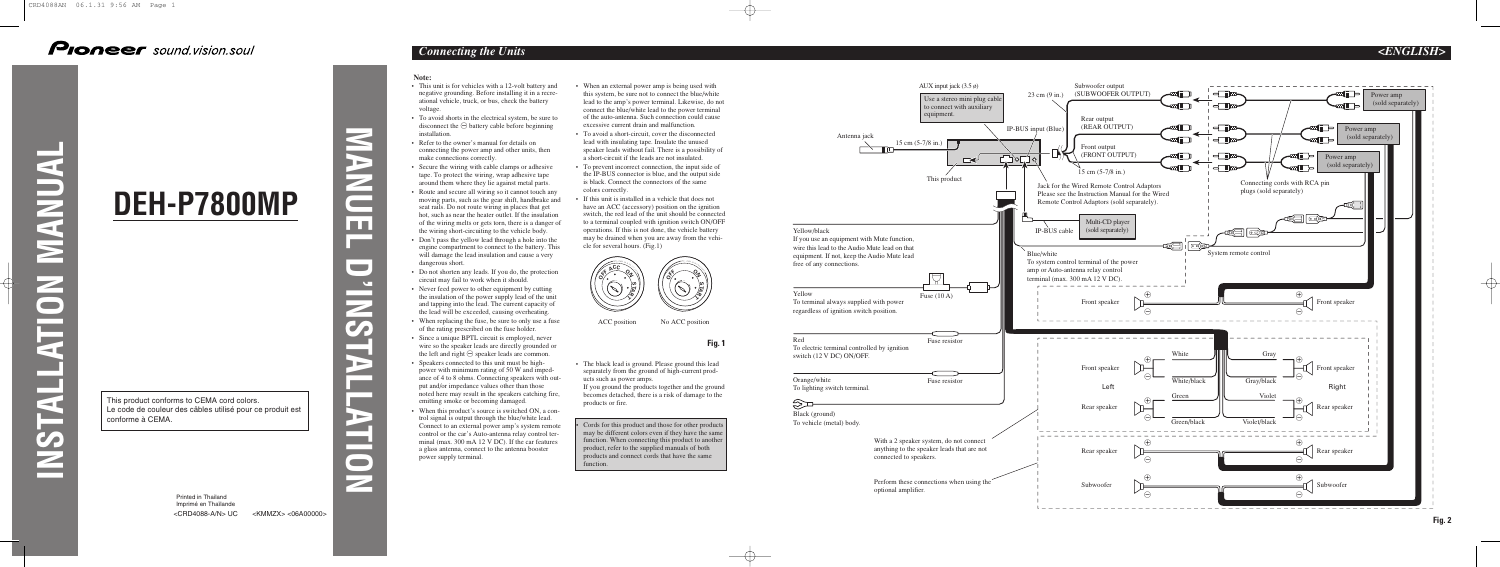

## **Pioneer** sound.vision.soul

**INSTALLATION MANUAL**

**Tara** 

E

 $\blacksquare$ 

**NANUA** 

**MANUEL D'INSTALLATION**

S

 $\overline{\phantom{0}}$ 

 $\overline{ }$ 

 $\blacksquare$ 

 $\blacktriangleright$ 

mп

 $\sqrt{2}$ **State** 

<KMMZX> <06A00000>

# **DEH-P7800MP**

Printed in Thailand Imprimé en Thaïlande <CRD4088-A/N> UC

#### **Note:**

- This unit is for vehicles with a 12-volt battery and negative grounding. Before installing it in a recreational vehicle, truck, or bus, check the battery voltage.
- To avoid shorts in the electrical system, be sure to disconnect the  $\ominus$  battery cable before beginning installation.
- Refer to the owner's manual for details on connecting the power amp and other units, then make connections correctly.
- Secure the wiring with cable clamps or adhesive tape. To protect the wiring, wrap adhesive tape around them where they lie against metal parts.
- Route and secure all wiring so it cannot touch any moving parts, such as the gear shift, handbrake and seat rails. Do not route wiring in places that get hot, such as near the heater outlet. If the insulation of the wiring melts or gets torn, there is a danger of the wiring short-circuiting to the vehicle body.
- Don't pass the yellow lead through a hole into the engine compartment to connect to the battery. This will damage the lead insulation and cause a very dangerous short.
- Do not shorten any leads. If you do, the protection circuit may fail to work when it should.
- Never feed power to other equipment by cutting the insulation of the power supply lead of the unit and tapping into the lead. The current capacity of the lead will be exceeded, causing overheating.
- When replacing the fuse, be sure to only use a fuse of the rating prescribed on the fuse holder.
- Since a unique BPTL circuit is employed, never wire so the speaker leads are directly grounded or the left and right  $\ominus$  speaker leads are common.
- Speakers connected to this unit must be highpower with minimum rating of 50 W and impedance of 4 to 8 ohms. Connecting speakers with output and/or impedance values other than those noted here may result in the speakers catching fire, emitting smoke or becoming damaged.
- When this product's source is switched ON, a control signal is output through the blue/white lead. Connect to an external power amp's system remote control or the car's Auto-antenna relay control terminal (max. 300 mA 12 V DC). If the car features a glass antenna, connect to the antenna booster power supply terminal.
- When an external power amp is being used with this system, be sure not to connect the blue/white lead to the amp's power terminal. Likewise, do not connect the blue/white lead to the power terminal of the auto-antenna. Such connection could cause excessive current drain and malfunction.
- To avoid a short-circuit, cover the disconnected lead with insulating tape. Insulate the unused speaker leads without fail. There is a possibility of a short-circuit if the leads are not insulated.
- To prevent incorrect connection, the input side of the IP-BUS connector is blue, and the output side is black. Connect the connectors of the same colors correctly.
- If this unit is installed in a vehicle that does not have an ACC (accessory) position on the ignition switch, the red lead of the unit should be connected to a terminal coupled with ignition switch ON/OFF operations. If this is not done, the vehicle battery may be drained when you are away from the vehicle for several hours. (Fig.1)

**Fig. 1**

• The black lead is ground. Please ground this lead separately from the ground of high-current products such as power amps.

If you ground the products together and the ground becomes detached, there is a risk of damage to the products or fire.



ACC position No ACC position

• Cords for this product and those for other products may be different colors even if they have the same function. When connecting this product to another product, refer to the supplied manuals of both products and connect cords that have the same function.

This product conforms to CEMA cord colors. Le code de couleur des câbles utilisé pour ce produit est conforme à CEMA.

## *Connecting the Units <ENGLISH>*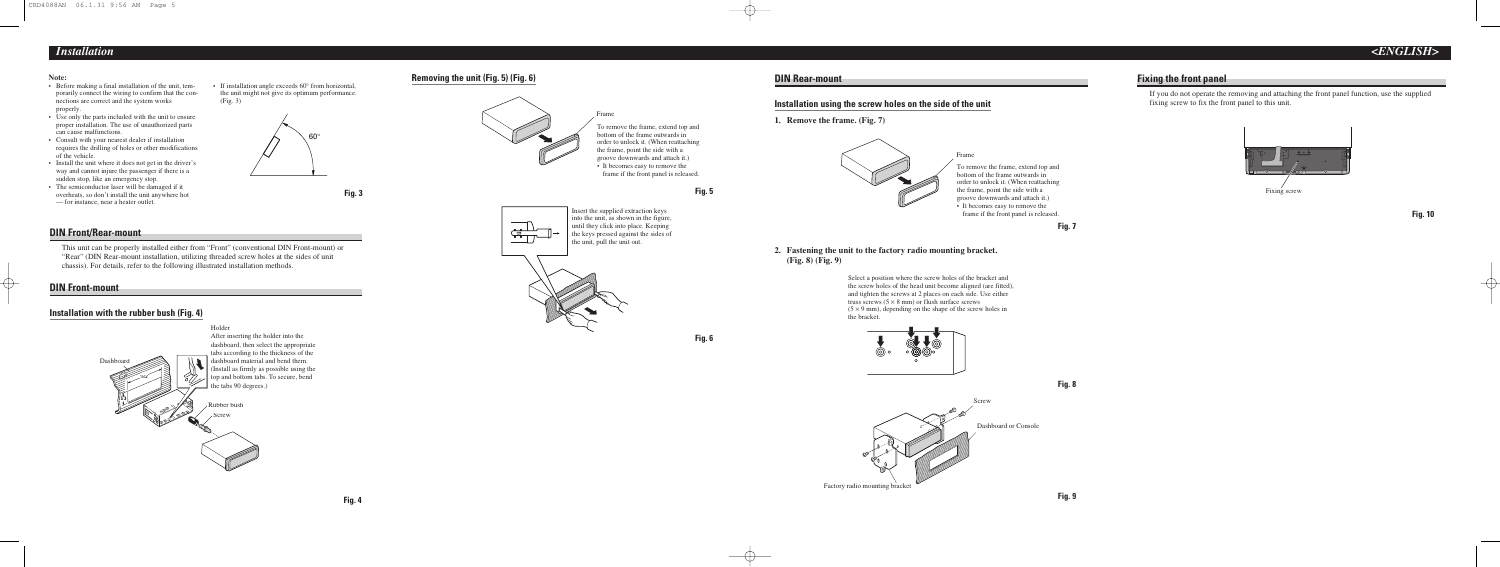#### **DIN Rear-mount**

#### **Installation using the screw holes on the side of the unit**

**1. Remove the frame. (Fig. 7)**



#### **2. Fastening the unit to the factory radio mounting bracket. (Fig. 8) (Fig. 9)**

Select a position where the screw holes of the bracket and the screw holes of the head unit become aligned (are fitted), and tighten the screws at 2 places on each side. Use either truss screws  $(5 \times 8 \text{ mm})$  or flush surface screws  $(5 \times 9 \text{ mm})$ , depending on the shape of the screw holes in the bracket.





Frame







### **Fixing the front panel**

If you do not operate the removing and attaching the front panel function, use the supplied fixing screw to fix the front panel to this unit.

**Fig. 10**





**Fig. 5**

**Fig. 6**

To remove the frame, extend top and order to unlock it. (When reattaching frame if the front panel is released.



#### **Note:**

- Before making a final installation of the unit, temporarily connect the wiring to confirm that the connections are correct and the system works properly.
- Use only the parts included with the unit to ensure proper installation. The use of unauthorized parts can cause malfunctions.
- Consult with your nearest dealer if installation requires the drilling of holes or other modifications of the vehicle.
- Install the unit where it does not get in the driver's way and cannot injure the passenger if there is a sudden stop, like an emergency stop.
- The semiconductor laser will be damaged if it overheats, so don't install the unit anywhere hot — for instance, near a heater outlet.



لكني<br>الكنيسي<br>الكنيسي







#### **DIN Front/Rear-mount**

This unit can be properly installed either from "Front" (conventional DIN Front-mount) or "Rear" (DIN Rear-mount installation, utilizing threaded screw holes at the sides of unit chassis). For details, refer to the following illustrated installation methods.

#### **DIN Front-mount**

#### **Installation with the rubber bush (Fig. 4)**

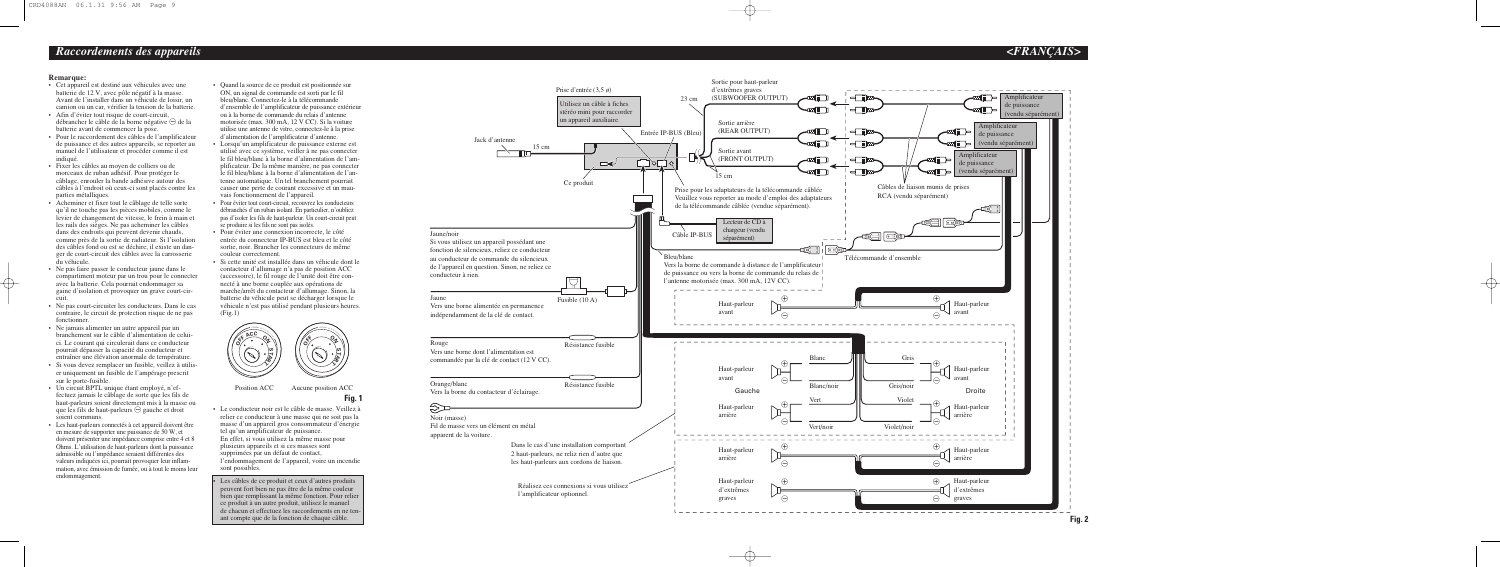

#### **Remarque:**

- Quand la source de ce produit est positionnée sur ON, un signal de commande est sorti par le fil bleu/blanc. Connectez-le à la télécommande d'ensemble de l'amplificateur de puissance extérieur ou à la borne de commande du relais d'antenne motorisée (max. 300 mA, 12 V CC). Si la voiture utilise une antenne de vitre, connectez-le à la prise d'alimentation de l'amplificateur d'antenne.
- Lorsqu'un amplificateur de puissance externe est utilisé avec ce système, veiller à ne pas connecter le fil bleu/blanc à la borne d'alimentation de l'amplificateur. De la même manière, ne pas connecter le fil bleu/blanc à la borne d'alimentation de l'antenne automatique. Un tel branchement pourrait causer une perte de courant excessive et un mauvais fonctionnement de l'appareil.
- Pour éviter tout court-circuit, recouvrez les conducteurs débranchés d'un ruban isolant. En particulier, n'oubliez pas d'isoler les fils de haut-parleur. Un court-circuit peut se produire si les fils ne sont pas isolés.
- Pour éviter une connexion incorrecte, le côté entrée du connecteur IP-BUS est bleu et le côté sortie, noir. Brancher les connecteurs de même couleur correctement.
- Si cette unité est installée dans un véhicule dont le contacteur d'allumage n'a pas de position ACC (accessoire), le fil rouge de l'unité doit être connecté à une borne couplée aux opérations de marche/arrêt du contacteur d'allumage. Sinon, la batterie du véhicule peut se décharger lorsque le véhicule n'est pas utilisé pendant plusieurs heures.  $(Fig.1)$

- **Fig. 1** Position ACC Aucune position ACC
- Le conducteur noir est le câble de masse. Veillez à relier ce conducteur à une masse qui ne soit pas la masse d'un appareil gros consommateur d'énergie tel qu'un amplificateur de puissance. En effet, si vous utilisez la même masse pour plusieurs appareils et si ces masses sont supprimées par un défaut de contact, l'endommagement de l'appareil, voire un incendie sont possibles.
- Cet appareil est destiné aux véhicules avec une batterie de 12 V, avec pôle négatif à la masse. Avant de l'installer dans un véhicule de loisir, un camion ou un car, vérifier la tension de la batterie.
- Afin d'éviter tout risque de court-circuit, débrancher le câble de la borne négative  $\ominus$  de la batterie avant de commencer la pose.
- Pour le raccordement des câbles de l'amplificateur de puissance et des autres appareils, se reporter au manuel de l'utilisateur et procéder comme il est indiqué
- Fixer les câbles au moyen de colliers ou de morceaux de ruban adhésif. Pour protéger le câblage, enrouler la bande adhésive autour des câbles à l'endroit où ceux-ci sont placés contre les parties métalliques.
- Acheminer et fixer tout le câblage de telle sorte qu'il ne touche pas les pièces mobiles, comme le levier de changement de vitesse, le frein à main et les rails des sièges. Ne pas acheminer les câbles dans des endroits qui peuvent devenir chauds, comme près de la sortie de radiateur. Si l'isolation des câbles fond ou est se déchire, il existe un danger de court-circuit des câbles avec la carrosserie du véhicule.
- Ne pas faire passer le conducteur jaune dans le compartiment moteur par un trou pour le connecter avec la batterie. Cela pourrait endommager sa gaine d'isolation et provoquer un grave court-circuit.
- Ne pas court-circuiter les conducteurs. Dans le cas contraire, le circuit de protection risque de ne pas fonctionner.
- Ne jamais alimenter un autre appareil par un branchement sur le câble d'alimentation de celuici. Le courant qui circulerait dans ce conducteur pourrait dépasser la capacité du conducteur et entraîner une élévation anormale de température.
- Si vous devez remplacer un fusible, veillez à utiliser uniquement un fusible de l'ampérage prescrit sur le porte-fusible.
- Un circuit BPTL unique étant employé, n'effectuez jamais le câblage de sorte que les fils de haut-parleurs soient directement mis à la masse ou que les fils de haut-parleurs  $\ominus$  gauche et droit soient communs.
- Les haut-parleurs connectés à cet appareil doivent être en mesure de supporter une puissance de 50 W, et doivent présenter une impédance comprise entre 4 et 8 Ohms. L'utilisation de haut-parleurs dont la puissance admissible ou l'impédance seraient différentes des valeurs indiquées ici, pourrait provoquer leur inflammation, avec émission de fumée, ou à tout le moins leur endommagement.



• Les câbles de ce produit et ceux d'autres produits peuvent fort bien ne pas être de la même couleur bien que remplissant la même fonction. Pour relier ce produit à un autre produit, utilisez le manuel de chacun et effectuez les raccordements en ne tenant compte que de la fonction de chaque câble.